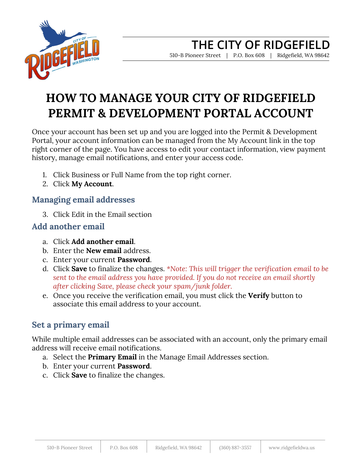

# **HOW TO MANAGE YOUR CITY OF RIDGEFIELD PERMIT & DEVELOPMENT PORTAL ACCOUNT**

Once your account has been set up and you are logged into the Permit & Development Portal, your account information can be managed from the My Account link in the top right corner of the page. You have access to edit your contact information, view payment history, manage email notifications, and enter your access code.

- 1. Click Business or Full Name from the top right corner.
- 2. Click **My Account**.

### **Managing email addresses**

3. Click Edit in the Email section

### **Add another email**

- a. Click **Add another email**.
- b. Enter the **New email** address.
- c. Enter your current **Password**.
- d. Click **Save** to finalize the changes. *\*Note: This will trigger the verification email to be sent to the email address you have provided. If you do not receive an email shortly after clicking Save, please check your spam/junk folder.*
- e. Once you receive the verification email, you must click the **Verify** button to associate this email address to your account.

## **Set a primary email**

While multiple email addresses can be associated with an account, only the primary email address will receive email notifications.

- a. Select the **Primary Email** in the Manage Email Addresses section.
- b. Enter your current **Password**.
- c. Click **Save** to finalize the changes.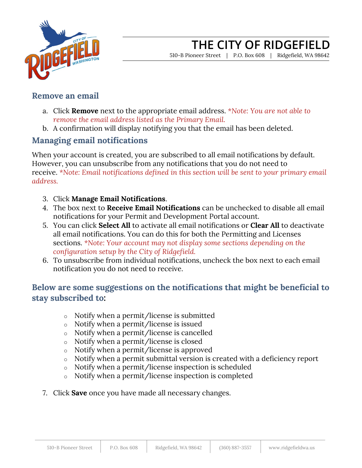

## **THE CITY OF RIDGEFIELD**

510-B Pioneer Street | P.O. Box 608 | Ridgefield, WA 98642

#### **Remove an email**

- a. Click **Remove** next to the appropriate email address. *\*Note: You are not able to remove the email address listed as the Primary Email.*
- b. A confirmation will display notifying you that the email has been deleted.

#### **Managing email notifications**

When your account is created, you are subscribed to all email notifications by default. However, you can unsubscribe from any notifications that you do not need to receive. *\*Note: Email notifications defined in this section will be sent to your primary email address.*

- 3. Click **Manage Email Notifications**.
- 4. The box next to **Receive Email Notifications** can be unchecked to disable all email notifications for your Permit and Development Portal account.
- 5. You can click **Select All** to activate all email notifications or **Clear All** to deactivate all email notifications. You can do this for both the Permitting and Licenses sections. *\*Note: Your account may not display some sections depending on the configuration setup by the City of Ridgefield.*
- 6. To unsubscribe from individual notifications, uncheck the box next to each email notification you do not need to receive.

#### **Below are some suggestions on the notifications that might be beneficial to stay subscribed to:**

- o Notify when a permit/license is submitted
- o Notify when a permit/license is issued
- o Notify when a permit/license is cancelled
- o Notify when a permit/license is closed
- o Notify when a permit/license is approved
- o Notify when a permit submittal version is created with a deficiency report
- o Notify when a permit/license inspection is scheduled
- o Notify when a permit/license inspection is completed
- 7. Click **Save** once you have made all necessary changes.